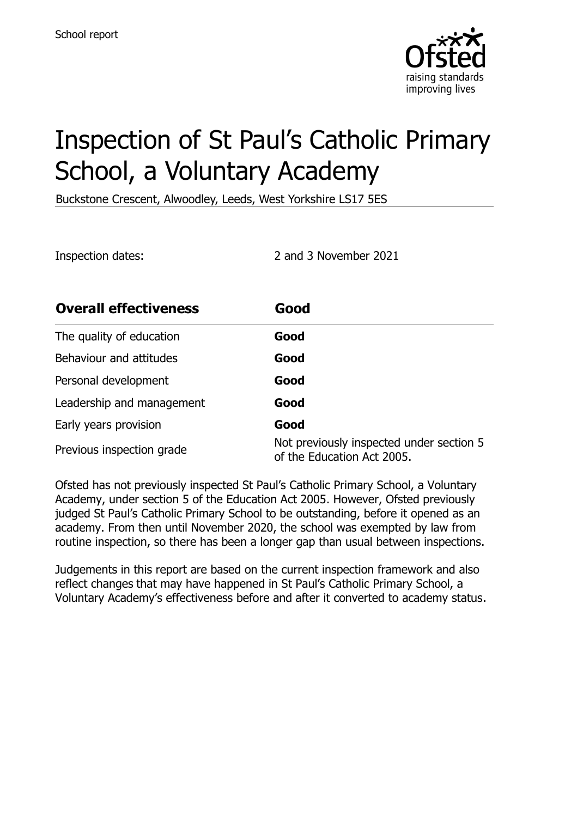

# Inspection of St Paul's Catholic Primary School, a Voluntary Academy

Buckstone Crescent, Alwoodley, Leeds, West Yorkshire LS17 5ES

Inspection dates: 2 and 3 November 2021

| <b>Overall effectiveness</b> | Good                                                                   |
|------------------------------|------------------------------------------------------------------------|
| The quality of education     | Good                                                                   |
| Behaviour and attitudes      | Good                                                                   |
| Personal development         | Good                                                                   |
| Leadership and management    | Good                                                                   |
| Early years provision        | Good                                                                   |
| Previous inspection grade    | Not previously inspected under section 5<br>of the Education Act 2005. |

Ofsted has not previously inspected St Paul's Catholic Primary School, a Voluntary Academy, under section 5 of the Education Act 2005. However, Ofsted previously judged St Paul's Catholic Primary School to be outstanding, before it opened as an academy. From then until November 2020, the school was exempted by law from routine inspection, so there has been a longer gap than usual between inspections.

Judgements in this report are based on the current inspection framework and also reflect changes that may have happened in St Paul's Catholic Primary School, a Voluntary Academy's effectiveness before and after it converted to academy status.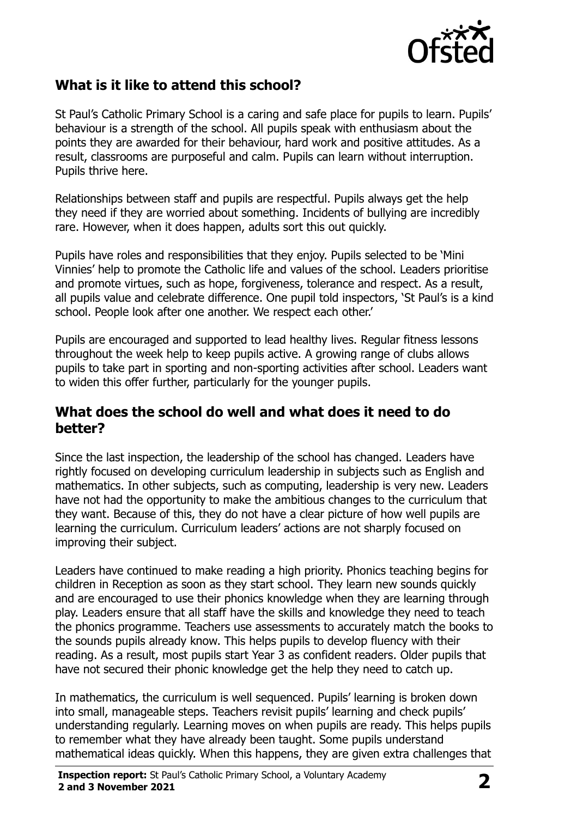

#### **What is it like to attend this school?**

St Paul's Catholic Primary School is a caring and safe place for pupils to learn. Pupils' behaviour is a strength of the school. All pupils speak with enthusiasm about the points they are awarded for their behaviour, hard work and positive attitudes. As a result, classrooms are purposeful and calm. Pupils can learn without interruption. Pupils thrive here.

Relationships between staff and pupils are respectful. Pupils always get the help they need if they are worried about something. Incidents of bullying are incredibly rare. However, when it does happen, adults sort this out quickly.

Pupils have roles and responsibilities that they enjoy. Pupils selected to be 'Mini Vinnies' help to promote the Catholic life and values of the school. Leaders prioritise and promote virtues, such as hope, forgiveness, tolerance and respect. As a result, all pupils value and celebrate difference. One pupil told inspectors, 'St Paul's is a kind school. People look after one another. We respect each other.'

Pupils are encouraged and supported to lead healthy lives. Regular fitness lessons throughout the week help to keep pupils active. A growing range of clubs allows pupils to take part in sporting and non-sporting activities after school. Leaders want to widen this offer further, particularly for the younger pupils.

#### **What does the school do well and what does it need to do better?**

Since the last inspection, the leadership of the school has changed. Leaders have rightly focused on developing curriculum leadership in subjects such as English and mathematics. In other subjects, such as computing, leadership is very new. Leaders have not had the opportunity to make the ambitious changes to the curriculum that they want. Because of this, they do not have a clear picture of how well pupils are learning the curriculum. Curriculum leaders' actions are not sharply focused on improving their subject.

Leaders have continued to make reading a high priority. Phonics teaching begins for children in Reception as soon as they start school. They learn new sounds quickly and are encouraged to use their phonics knowledge when they are learning through play. Leaders ensure that all staff have the skills and knowledge they need to teach the phonics programme. Teachers use assessments to accurately match the books to the sounds pupils already know. This helps pupils to develop fluency with their reading. As a result, most pupils start Year 3 as confident readers. Older pupils that have not secured their phonic knowledge get the help they need to catch up.

In mathematics, the curriculum is well sequenced. Pupils' learning is broken down into small, manageable steps. Teachers revisit pupils' learning and check pupils' understanding regularly. Learning moves on when pupils are ready. This helps pupils to remember what they have already been taught. Some pupils understand mathematical ideas quickly. When this happens, they are given extra challenges that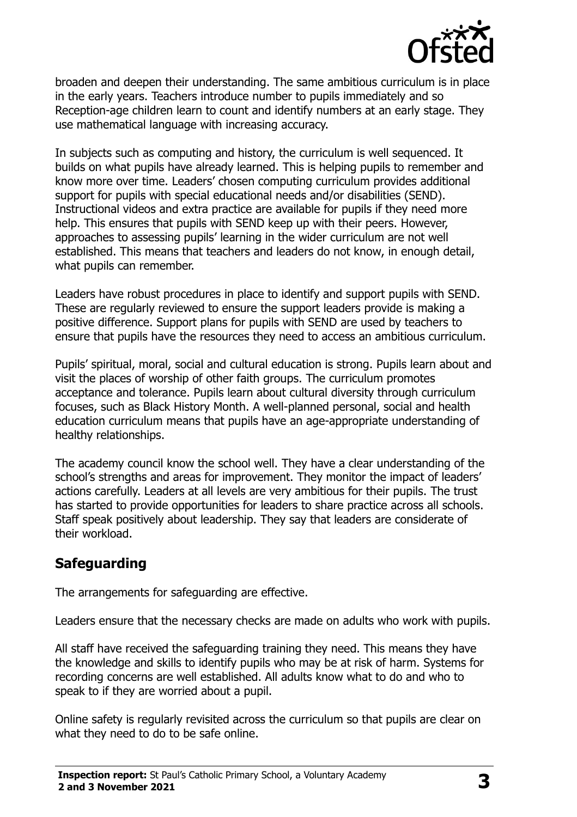

broaden and deepen their understanding. The same ambitious curriculum is in place in the early years. Teachers introduce number to pupils immediately and so Reception-age children learn to count and identify numbers at an early stage. They use mathematical language with increasing accuracy.

In subjects such as computing and history, the curriculum is well sequenced. It builds on what pupils have already learned. This is helping pupils to remember and know more over time. Leaders' chosen computing curriculum provides additional support for pupils with special educational needs and/or disabilities (SEND). Instructional videos and extra practice are available for pupils if they need more help. This ensures that pupils with SEND keep up with their peers. However, approaches to assessing pupils' learning in the wider curriculum are not well established. This means that teachers and leaders do not know, in enough detail, what pupils can remember.

Leaders have robust procedures in place to identify and support pupils with SEND. These are regularly reviewed to ensure the support leaders provide is making a positive difference. Support plans for pupils with SEND are used by teachers to ensure that pupils have the resources they need to access an ambitious curriculum.

Pupils' spiritual, moral, social and cultural education is strong. Pupils learn about and visit the places of worship of other faith groups. The curriculum promotes acceptance and tolerance. Pupils learn about cultural diversity through curriculum focuses, such as Black History Month. A well-planned personal, social and health education curriculum means that pupils have an age-appropriate understanding of healthy relationships.

The academy council know the school well. They have a clear understanding of the school's strengths and areas for improvement. They monitor the impact of leaders' actions carefully. Leaders at all levels are very ambitious for their pupils. The trust has started to provide opportunities for leaders to share practice across all schools. Staff speak positively about leadership. They say that leaders are considerate of their workload.

## **Safeguarding**

The arrangements for safeguarding are effective.

Leaders ensure that the necessary checks are made on adults who work with pupils.

All staff have received the safeguarding training they need. This means they have the knowledge and skills to identify pupils who may be at risk of harm. Systems for recording concerns are well established. All adults know what to do and who to speak to if they are worried about a pupil.

Online safety is regularly revisited across the curriculum so that pupils are clear on what they need to do to be safe online.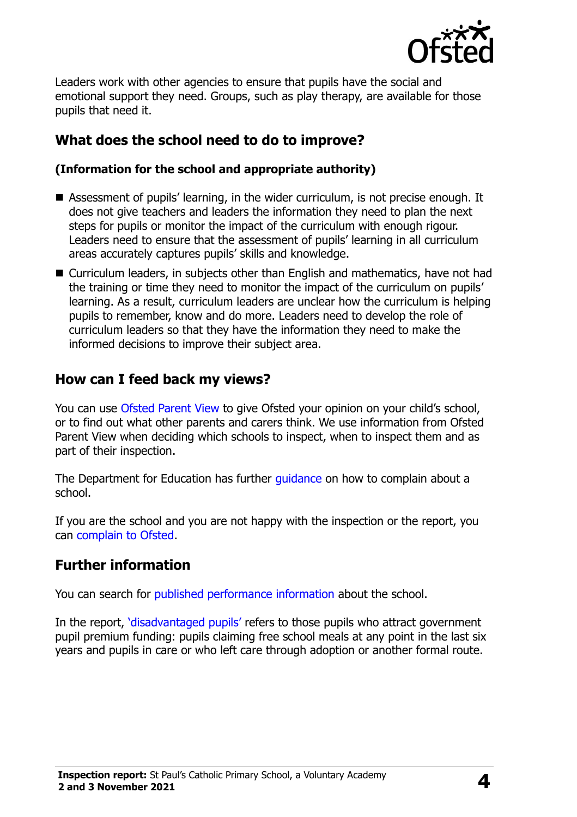

Leaders work with other agencies to ensure that pupils have the social and emotional support they need. Groups, such as play therapy, are available for those pupils that need it.

# **What does the school need to do to improve?**

#### **(Information for the school and appropriate authority)**

- Assessment of pupils' learning, in the wider curriculum, is not precise enough. It does not give teachers and leaders the information they need to plan the next steps for pupils or monitor the impact of the curriculum with enough rigour. Leaders need to ensure that the assessment of pupils' learning in all curriculum areas accurately captures pupils' skills and knowledge.
- Curriculum leaders, in subjects other than English and mathematics, have not had the training or time they need to monitor the impact of the curriculum on pupils' learning. As a result, curriculum leaders are unclear how the curriculum is helping pupils to remember, know and do more. Leaders need to develop the role of curriculum leaders so that they have the information they need to make the informed decisions to improve their subject area.

## **How can I feed back my views?**

You can use [Ofsted Parent View](http://parentview.ofsted.gov.uk/) to give Ofsted your opinion on your child's school, or to find out what other parents and carers think. We use information from Ofsted Parent View when deciding which schools to inspect, when to inspect them and as part of their inspection.

The Department for Education has further quidance on how to complain about a school.

If you are the school and you are not happy with the inspection or the report, you can [complain to Ofsted.](http://www.gov.uk/complain-ofsted-report)

#### **Further information**

You can search for [published performance information](http://www.compare-school-performance.service.gov.uk/) about the school.

In the report, '[disadvantaged pupils](http://www.gov.uk/guidance/pupil-premium-information-for-schools-and-alternative-provision-settings)' refers to those pupils who attract government pupil premium funding: pupils claiming free school meals at any point in the last six years and pupils in care or who left care through adoption or another formal route.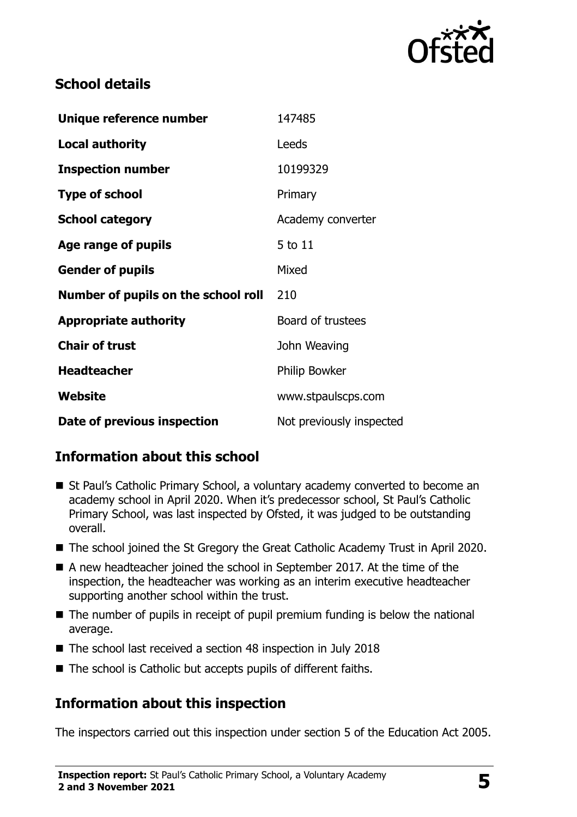

## **School details**

| Unique reference number             | 147485                   |
|-------------------------------------|--------------------------|
| <b>Local authority</b>              | Leeds                    |
| <b>Inspection number</b>            | 10199329                 |
| <b>Type of school</b>               | Primary                  |
| <b>School category</b>              | Academy converter        |
| Age range of pupils                 | 5 to 11                  |
| <b>Gender of pupils</b>             | Mixed                    |
| Number of pupils on the school roll | 210                      |
| <b>Appropriate authority</b>        | Board of trustees        |
| <b>Chair of trust</b>               | John Weaving             |
| <b>Headteacher</b>                  | <b>Philip Bowker</b>     |
| <b>Website</b>                      | www.stpaulscps.com       |
| Date of previous inspection         | Not previously inspected |

## **Information about this school**

- St Paul's Catholic Primary School, a voluntary academy converted to become an academy school in April 2020. When it's predecessor school, St Paul's Catholic Primary School, was last inspected by Ofsted, it was judged to be outstanding overall.
- The school joined the St Gregory the Great Catholic Academy Trust in April 2020.
- A new headteacher joined the school in September 2017. At the time of the inspection, the headteacher was working as an interim executive headteacher supporting another school within the trust.
- The number of pupils in receipt of pupil premium funding is below the national average.
- The school last received a section 48 inspection in July 2018
- The school is Catholic but accepts pupils of different faiths.

## **Information about this inspection**

The inspectors carried out this inspection under section 5 of the Education Act 2005.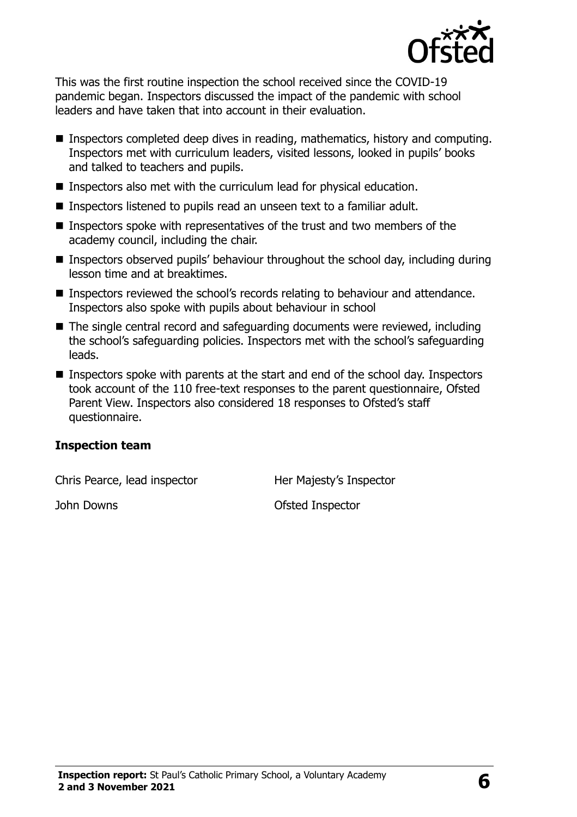

This was the first routine inspection the school received since the COVID-19 pandemic began. Inspectors discussed the impact of the pandemic with school leaders and have taken that into account in their evaluation.

- Inspectors completed deep dives in reading, mathematics, history and computing. Inspectors met with curriculum leaders, visited lessons, looked in pupils' books and talked to teachers and pupils.
- **Inspectors also met with the curriculum lead for physical education.**
- **Inspectors listened to pupils read an unseen text to a familiar adult.**
- Inspectors spoke with representatives of the trust and two members of the academy council, including the chair.
- Inspectors observed pupils' behaviour throughout the school day, including during lesson time and at breaktimes.
- Inspectors reviewed the school's records relating to behaviour and attendance. Inspectors also spoke with pupils about behaviour in school
- The single central record and safeguarding documents were reviewed, including the school's safeguarding policies. Inspectors met with the school's safeguarding leads.
- Inspectors spoke with parents at the start and end of the school day. Inspectors took account of the 110 free-text responses to the parent questionnaire, Ofsted Parent View. Inspectors also considered 18 responses to Ofsted's staff questionnaire.

#### **Inspection team**

Chris Pearce, lead inspector Her Majesty's Inspector

**John Downs Ofsted Inspector**